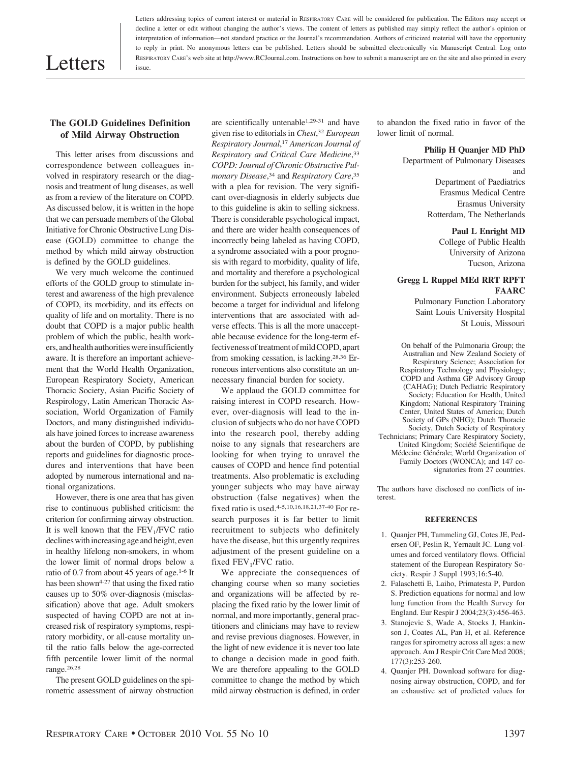# Letters

Letters addressing topics of current interest or material in RESPIRATORY CARE will be considered for publication. The Editors may accept or decline a letter or edit without changing the author's views. The content of letters as published may simply reflect the author's opinion or interpretation of information—not standard practice or the Journal's recommendation. Authors of criticized material will have the opportunity to reply in print. No anonymous letters can be published. Letters should be submitted electronically via Manuscript Central. Log onto RESPIRATORY CARE's web site at http://www.RCJournal.com. Instructions on how to submit a manuscript are on the site and also printed in every issue.

# **The GOLD Guidelines Definition of Mild Airway Obstruction**

This letter arises from discussions and correspondence between colleagues involved in respiratory research or the diagnosis and treatment of lung diseases, as well as from a review of the literature on COPD. As discussed below, it is written in the hope that we can persuade members of the Global Initiative for Chronic Obstructive Lung Disease (GOLD) committee to change the method by which mild airway obstruction is defined by the GOLD guidelines.

We very much welcome the continued efforts of the GOLD group to stimulate interest and awareness of the high prevalence of COPD, its morbidity, and its effects on quality of life and on mortality. There is no doubt that COPD is a major public health problem of which the public, health workers, and health authorities wereinsufficiently aware. It is therefore an important achievement that the World Health Organization, European Respiratory Society, American Thoracic Society, Asian Pacific Society of Respirology, Latin American Thoracic Association, World Organization of Family Doctors, and many distinguished individuals have joined forces to increase awareness about the burden of COPD, by publishing reports and guidelines for diagnostic procedures and interventions that have been adopted by numerous international and national organizations.

However, there is one area that has given rise to continuous published criticism: the criterion for confirming airway obstruction. It is well known that the  $FEV<sub>1</sub>/FVC$  ratio declines with increasing age and height, even in healthy lifelong non-smokers, in whom the lower limit of normal drops below a ratio of 0.7 from about 45 years of age.1-6 It has been shown<sup>4-27</sup> that using the fixed ratio causes up to 50% over-diagnosis (misclassification) above that age. Adult smokers suspected of having COPD are not at increased risk of respiratory symptoms, respiratory morbidity, or all-cause mortality until the ratio falls below the age-corrected fifth percentile lower limit of the normal range.26,28

The present GOLD guidelines on the spirometric assessment of airway obstruction are scientifically untenable1,29-31 and have given rise to editorials in *Chest*, <sup>32</sup> *European Respiratory Journal*, <sup>17</sup> *American Journal of Respiratory and Critical Care Medicine*, 33 *COPD: Journal of Chronic Obstructive Pulmonary Disease*, <sup>34</sup> and *Respiratory Care*, 35 with a plea for revision. The very significant over-diagnosis in elderly subjects due to this guideline is akin to selling sickness. There is considerable psychological impact, and there are wider health consequences of incorrectly being labeled as having COPD, a syndrome associated with a poor prognosis with regard to morbidity, quality of life, and mortality and therefore a psychological burden for the subject, his family, and wider environment. Subjects erroneously labeled become a target for individual and lifelong interventions that are associated with adverse effects. This is all the more unacceptable because evidence for the long-term effectiveness of treatment of mild COPD, apart from smoking cessation, is lacking.28,36 Erroneous interventions also constitute an unnecessary financial burden for society.

We applaud the GOLD committee for raising interest in COPD research. However, over-diagnosis will lead to the inclusion of subjects who do not have COPD into the research pool, thereby adding noise to any signals that researchers are looking for when trying to unravel the causes of COPD and hence find potential treatments. Also problematic is excluding younger subjects who may have airway obstruction (false negatives) when the fixed ratio is used.4-5,10,16,18,21,37-40 For research purposes it is far better to limit recruitment to subjects who definitely have the disease, but this urgently requires adjustment of the present guideline on a fixed FEV<sub>1</sub>/FVC ratio.

We appreciate the consequences of changing course when so many societies and organizations will be affected by replacing the fixed ratio by the lower limit of normal, and more importantly, general practitioners and clinicians may have to review and revise previous diagnoses. However, in the light of new evidence it is never too late to change a decision made in good faith. We are therefore appealing to the GOLD committee to change the method by which mild airway obstruction is defined, in order

to abandon the fixed ratio in favor of the lower limit of normal.

### **Philip H Quanjer MD PhD**

Department of Pulmonary Diseases and Department of Paediatrics

Erasmus Medical Centre Erasmus University Rotterdam, The Netherlands

## **Paul L Enright MD**

College of Public Health University of Arizona Tucson, Arizona

## **Gregg L Ruppel MEd RRT RPFT FAARC**

Pulmonary Function Laboratory Saint Louis University Hospital St Louis, Missouri

On behalf of the Pulmonaria Group; the Australian and New Zealand Society of Respiratory Science; Association for Respiratory Technology and Physiology; COPD and Asthma GP Advisory Group (CAHAG); Dutch Pediatric Respiratory Society; Education for Health, United Kingdom; National Respiratory Training Center, United States of America; Dutch Society of GPs (NHG); Dutch Thoracic Society, Dutch Society of Respiratory Technicians; Primary Care Respiratory Society, United Kingdom; Société Scientifique de Médecine Générale; World Organization of Family Doctors (WONCA); and 147 cosignatories from 27 countries.

The authors have disclosed no conflicts of interest.

### **REFERENCES**

- 1. Quanjer PH, Tammeling GJ, Cotes JE, Pedersen OF, Peslin R, Yernault JC*.* Lung volumes and forced ventilatory flows. Official statement of the European Respiratory Society. Respir J Suppl 1993;16:5-40.
- 2. Falaschetti E, Laiho, Primatesta P, Purdon S. Prediction equations for normal and low lung function from the Health Survey for England. Eur Respir J 2004;23(3):456-463.
- 3. Stanojevic S, Wade A, Stocks J, Hankinson J, Coates AL, Pan H, et al. Reference ranges for spirometry across all ages: a new approach. Am J Respir Crit Care Med 2008; 177(3):253-260.
- 4. Quanjer PH. Download software for diagnosing airway obstruction, COPD, and for an exhaustive set of predicted values for